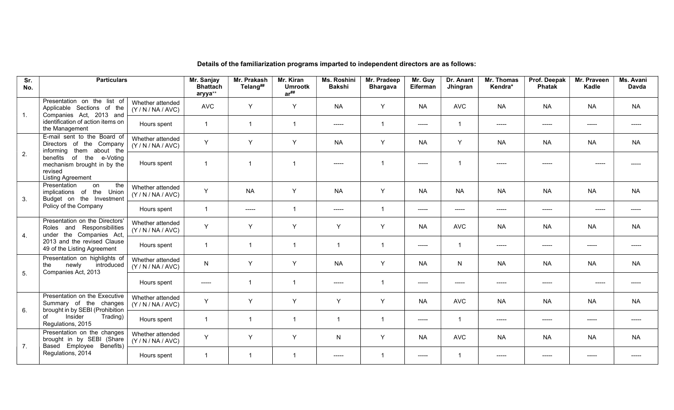| Sr.<br>No.       | <b>Particulars</b>                                                                             |                                  | Mr. Sanjay<br><b>Bhattach</b><br>aryya** | Mr. Prakash<br>Telang## | Mr. Kiran<br><b>Umrootk</b><br>$ar^{\# \#}$ | Ms. Roshini<br><b>Bakshi</b> | Mr. Pradeep<br><b>Bhargava</b> | Mr. Guy<br>Eiferman | Dr. Anant<br>Jhingran   | Mr. Thomas<br>Kendra* | Prof. Deepak<br><b>Phatak</b>                           | Mr. Praveen<br>Kadle                     | Ms. Avani<br>Davda |
|------------------|------------------------------------------------------------------------------------------------|----------------------------------|------------------------------------------|-------------------------|---------------------------------------------|------------------------------|--------------------------------|---------------------|-------------------------|-----------------------|---------------------------------------------------------|------------------------------------------|--------------------|
| $\overline{1}$ . | Presentation on the list of<br>Applicable Sections of the<br>Companies Act, 2013 and           | Whether attended<br>(Y/N/NA/AVC) | <b>AVC</b>                               | Y                       | Y                                           | <b>NA</b>                    | Y                              | <b>NA</b>           | <b>AVC</b>              | <b>NA</b>             | <b>NA</b>                                               | <b>NA</b>                                | <b>NA</b>          |
|                  | identification of action items on<br>the Management                                            | Hours spent                      |                                          | $\overline{1}$          | $\overline{1}$                              | -----                        | $\overline{1}$                 | -----               | $\overline{\mathbf{1}}$ | $---$                 | $---$                                                   | -----                                    |                    |
|                  | E-mail sent to the Board of<br>Directors of the Company<br>informing them about the            | Whether attended<br>(Y/N/NA/AVC) | Y                                        | Y                       | Y                                           | <b>NA</b>                    | Y                              | <b>NA</b>           | Y                       | <b>NA</b>             | <b>NA</b>                                               | <b>NA</b>                                | <b>NA</b>          |
| 2.               | benefits of the e-Voting<br>mechanism brought in by the<br>revised<br><b>Listing Agreement</b> | Hours spent                      | $\overline{\mathbf{1}}$                  | $\overline{1}$          | -1                                          | -----                        | -1                             | -----               | $\overline{1}$          |                       |                                                         |                                          |                    |
| 3.               | the<br>Presentation<br>on<br>implications of the Union<br>Budget on the Investment             | Whether attended<br>(Y/N/NA/AVC) | Y                                        | <b>NA</b>               | Y                                           | <b>NA</b>                    | Y                              | <b>NA</b>           | <b>NA</b>               | <b>NA</b>             | <b>NA</b>                                               | <b>NA</b>                                | <b>NA</b>          |
|                  | Policy of the Company                                                                          | Hours spent                      | $\overline{1}$                           | -----                   | $\overline{1}$                              | -----                        | $\overline{1}$                 | $-----1$            | $--- - -$               | -----                 | $--- -$                                                 | $---$                                    | -----              |
| $\overline{4}$ . | Presentation on the Directors'<br>Roles and Responsibilities<br>the Companies Act,<br>under    | Whether attended<br>(Y/N/NA/AVC) | Y                                        | Y                       | Y                                           | Y                            | $\mathsf{Y}$                   | <b>NA</b>           | <b>AVC</b>              | <b>NA</b>             | <b>NA</b>                                               | <b>NA</b>                                | <b>NA</b>          |
|                  | 2013 and the revised Clause<br>49 of the Listing Agreement                                     | Hours spent                      |                                          | $\overline{1}$          | $\overline{\mathbf{1}}$                     | $\overline{1}$               | $\overline{1}$                 | $-----1$            | $\mathbf{1}$            | $\frac{1}{2}$         | $--- -$                                                 | -----                                    | -----              |
| 5.               | Presentation on highlights of<br>newly<br>introduced<br>the<br>Companies Act, 2013             | Whether attended<br>(Y/N/NA/AVC) | $\mathsf{N}$                             | Y                       | Y                                           | <b>NA</b>                    | Y                              | <b>NA</b>           | N.                      | <b>NA</b>             | <b>NA</b>                                               | <b>NA</b>                                | <b>NA</b>          |
|                  |                                                                                                | Hours spent                      | $--- -$                                  | $\overline{1}$          | $\overline{1}$                              | -----                        | $\overline{\mathbf{1}}$        | $-----$             | -----                   | -----                 | $\begin{tabular}{cc} - & - & - \\ \hline \end{tabular}$ | $\begin{array}{c} - - - - - \end{array}$ |                    |
| 6.               | Presentation on the Executive<br>Summary of the changes<br>brought in by SEBI (Prohibition     | Whether attended<br>(Y/N/NA/AVC) | Y                                        | Y                       | Y                                           | Y                            | Y                              | <b>NA</b>           | <b>AVC</b>              | <b>NA</b>             | <b>NA</b>                                               | <b>NA</b>                                | <b>NA</b>          |
|                  | Insider<br>Trading)<br>of<br>Regulations, 2015                                                 | Hours spent                      | $\overline{1}$                           | $\overline{1}$          | $\overline{\mathbf{1}}$                     | $\overline{1}$               | $\overline{1}$                 | $-----$             | $\mathbf{1}$            | -----                 | $\begin{tabular}{cc} - & - & - \\ \hline \end{tabular}$ | -----                                    | $---$              |
| 7.               | Presentation on the changes<br>brought in by SEBI (Share<br>Based Employee Benefits)           | Whether attended<br>(Y/N/NA/AVC) | Y                                        | Y                       | Y                                           | ${\sf N}$                    | Y                              | <b>NA</b>           | <b>AVC</b>              | <b>NA</b>             | <b>NA</b>                                               | <b>NA</b>                                | <b>NA</b>          |
|                  | Regulations, 2014                                                                              | Hours spent                      |                                          | $\overline{1}$          |                                             | -----                        | -1                             | -----               | -1                      | -----                 | -----                                                   | -----                                    |                    |

## Details of the familiarization programs imparted to independent directors are as follows: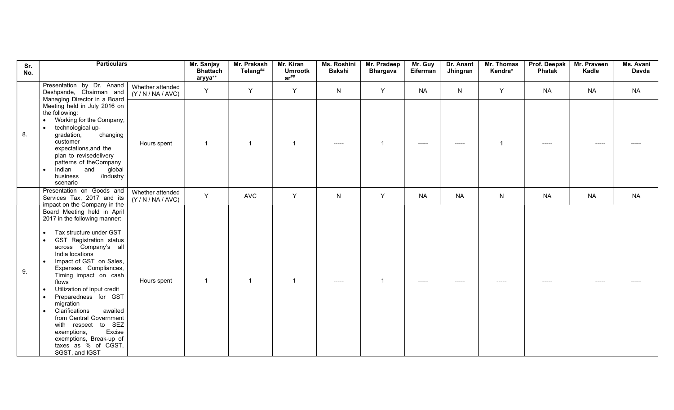| Sr.<br>No. | <b>Particulars</b>                                                                                                                                                                                                                                                                                                                                                                                                                                                                                                                                 |                                  | Mr. Sanjay<br><b>Bhattach</b><br>aryya** | Mr. Prakash<br>Telang## | Mr. Kiran<br><b>Umrootk</b><br>$ar^{\# \#}$ | Ms. Roshini<br><b>Bakshi</b>         | Mr. Pradeep<br><b>Bhargava</b> | Mr. Guy<br>Eiferman | Dr. Anant<br>Jhingran | Mr. Thomas<br>Kendra* | Prof. Deepak<br>Phatak | Mr. Praveen<br>Kadle | Ms. Avani<br>Davda |
|------------|----------------------------------------------------------------------------------------------------------------------------------------------------------------------------------------------------------------------------------------------------------------------------------------------------------------------------------------------------------------------------------------------------------------------------------------------------------------------------------------------------------------------------------------------------|----------------------------------|------------------------------------------|-------------------------|---------------------------------------------|--------------------------------------|--------------------------------|---------------------|-----------------------|-----------------------|------------------------|----------------------|--------------------|
|            | Presentation by Dr. Anand<br>Deshpande, Chairman and<br>Managing Director in a Board                                                                                                                                                                                                                                                                                                                                                                                                                                                               | Whether attended<br>(Y/N/NA/AVC) | Y                                        | Y                       | Y                                           | $\mathsf{N}$                         | Y                              | <b>NA</b>           | ${\sf N}$             | Y                     | <b>NA</b>              | <b>NA</b>            | <b>NA</b>          |
| 8.         | Meeting held in July 2016 on<br>the following:<br>Working for the Company,<br>technological up-<br>gradation,<br>changing<br>customer<br>expectations, and the<br>plan to revisedelivery<br>patterns of theCompany<br>and<br>Indian<br>global<br>/Industry<br>business<br>scenario                                                                                                                                                                                                                                                                 | Hours spent                      | $\mathbf{1}$                             | $\mathbf{1}$            | $\overline{\mathbf{1}}$                     | $\qquad \qquad \cdots \qquad \qquad$ | -1                             | -----               | -----                 |                       | -----                  | -----                |                    |
|            | Presentation on Goods and<br>Services Tax, 2017 and its<br>impact on the Company in the                                                                                                                                                                                                                                                                                                                                                                                                                                                            | Whether attended<br>(Y/N/NA/AVC) | Y                                        | <b>AVC</b>              | Y                                           | $\mathsf{N}$                         | Y                              | <b>NA</b>           | <b>NA</b>             | $\mathsf{N}$          | <b>NA</b>              | <b>NA</b>            | <b>NA</b>          |
| 9.         | Board Meeting held in April<br>2017 in the following manner:<br>Tax structure under GST<br><b>GST Registration status</b><br>across Company's all<br>India locations<br>Impact of GST on Sales,<br>$\bullet$<br>Expenses, Compliances,<br>Timing impact on cash<br>flows<br>Utilization of Input credit<br>Preparedness for GST<br>$\bullet$<br>migration<br>Clarifications<br>awaited<br>$\bullet$<br>from Central Government<br>with respect to SEZ<br>Excise<br>exemptions,<br>exemptions, Break-up of<br>taxes as % of CGST,<br>SGST, and IGST | Hours spent                      |                                          | $\mathbf 1$             | $\overline{\mathbf{1}}$                     |                                      | -1                             |                     |                       |                       |                        |                      |                    |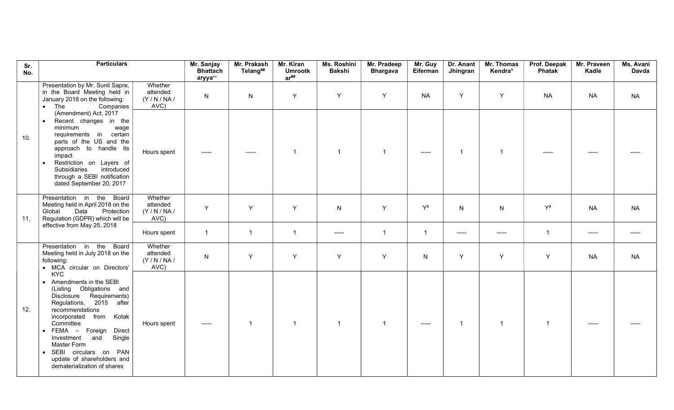| Sr.<br>No. | <b>Particulars</b>                                                                                                                                                                                                                                                                                                                                                            |                                         | Mr. Sanjay<br><b>Bhattach</b><br>aryya** | Mr. Prakash<br>Telang##   | Mr. Kiran<br><b>Umrootk</b><br>$ar^{\# \#}$ | Ms. Roshini<br><b>Bakshi</b> | Mr. Pradeep<br><b>Bhargava</b> | Mr. Guy<br>Eiferman                       | Dr. Anant<br>Jhingran   | Mr. Thomas<br>Kendra* | Prof. Deepak<br>Phatak | Mr. Praveen<br>Kadle | Ms. Avani<br>Davda |
|------------|-------------------------------------------------------------------------------------------------------------------------------------------------------------------------------------------------------------------------------------------------------------------------------------------------------------------------------------------------------------------------------|-----------------------------------------|------------------------------------------|---------------------------|---------------------------------------------|------------------------------|--------------------------------|-------------------------------------------|-------------------------|-----------------------|------------------------|----------------------|--------------------|
|            | Presentation by Mr. Sunil Sapre,<br>in the Board Meeting held in<br>January 2018 on the following:<br>The<br>Companies<br>$\bullet$                                                                                                                                                                                                                                           | Whether<br>attended<br>(Y/N/NA)<br>AVC) | N                                        | ${\sf N}$                 | Y                                           | Y                            | Y                              | <b>NA</b>                                 | Y                       | Y                     | <b>NA</b>              | <b>NA</b>            | <b>NA</b>          |
| 10.        | (Amendment) Act, 2017<br>Recent changes in the<br>$\bullet$<br>minimum<br>wage<br>certain<br>requirements in<br>parts of the US and the<br>approach to handle its<br>impact<br>Restriction on Layers of<br>Subsidiaries<br>introduced<br>through a SEBI notification<br>dated September 20, 2017                                                                              | Hours spent                             | -----                                    | $\qquad \qquad - - - - -$ | $\overline{1}$                              | $\overline{1}$               | $\overline{1}$                 | $\qquad \qquad \textbf{---} \textbf{---}$ | $\overline{\mathbf{1}}$ | $\overline{1}$        | -----                  | $--- - -$            |                    |
| 11.        | Presentation in the<br>Board<br>Meeting held in April 2018 on the<br>Global<br>Data<br>Protection<br>Regulation (GDPR) which will be                                                                                                                                                                                                                                          | Whether<br>attended<br>(Y/N/NA)<br>AVC) | Y                                        | Y                         | Y                                           | $\mathsf{N}$                 | Y                              | $Y^{\#}$                                  | N                       | $\mathsf{N}$          | $Y^{\#}$               | <b>NA</b>            | <b>NA</b>          |
|            | effective from May 25, 2018                                                                                                                                                                                                                                                                                                                                                   | Hours spent                             | $\mathbf{1}$                             | $\overline{1}$            | $\mathbf{1}$                                | -----                        | $\overline{1}$                 | $\overline{1}$                            | $\cdots$                | -----                 | $\mathbf{1}$           | -----                | $--- -$            |
|            | Presentation in the<br>Board<br>Meeting held in July 2018 on the<br>following:<br>• MCA circular on Directors'                                                                                                                                                                                                                                                                | Whether<br>attended<br>(Y/N/NA)<br>AVC) | ${\sf N}$                                | Y                         | Y                                           | Y                            | Y                              | ${\sf N}$                                 | Y                       | Y                     | Υ                      | <b>NA</b>            | <b>NA</b>          |
| 12.        | <b>KYC</b><br>• Amendments in the SEBI<br>(Listing Obligations and<br><b>Disclosure</b><br>Requirements)<br>Regulations, 2015 after<br>recommendations<br>Kotak<br>incorporated<br>from<br>Committee<br>· FEMA - Foreign<br><b>Direct</b><br>Single<br>Investment<br>and<br>Master Form<br>SEBI circulars on PAN<br>update of shareholders and<br>dematerialization of shares | Hours spent                             | -----                                    | $\overline{1}$            | $\mathbf{1}$                                | $\overline{1}$               | $\mathbf{1}$                   | $\qquad \qquad \textbf{---} \textbf{---}$ | -1                      | $\overline{1}$        | $\mathbf{1}$           | -----                |                    |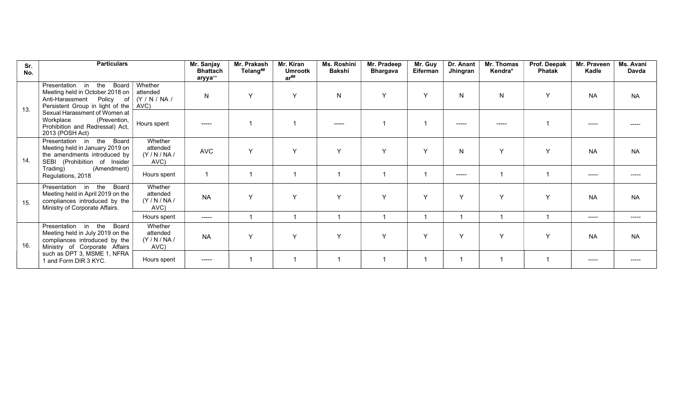| Sr.<br>No. | <b>Particulars</b>                                                                                                                                           |                                         | Mr. Sanjay<br><b>Bhattach</b><br>aryya** | Mr. Prakash<br>Telang## | Mr. Kiran<br><b>Umrootk</b><br>$ar^{\# \#}$ | Ms. Roshini<br><b>Bakshi</b> | Mr. Pradeep<br><b>Bhargava</b> | Mr. Guy<br>Eiferman     | Dr. Anant<br>Jhingran | Mr. Thomas<br>Kendra* | Prof. Deepak<br><b>Phatak</b> | Mr. Praveen<br>Kadle | Ms. Avani<br>Davda                   |
|------------|--------------------------------------------------------------------------------------------------------------------------------------------------------------|-----------------------------------------|------------------------------------------|-------------------------|---------------------------------------------|------------------------------|--------------------------------|-------------------------|-----------------------|-----------------------|-------------------------------|----------------------|--------------------------------------|
| 13.        | Presentation<br>the<br>in<br>Meeting held in October 2018 on  <br>Anti-Harassment Policy of   (Y / N / NA /<br>Persistent Group in light of the $\vert$ AVC) | Board   Whether<br>attended             | N                                        | $\checkmark$            | Y                                           | $\mathsf{N}$                 | Y                              | Y                       | N                     | N                     |                               | <b>NA</b>            | <b>NA</b>                            |
|            | Sexual Harassment of Women at  <br>Workplace<br>(Prevention,<br>Prohibition and Redressal) Act,<br>2013 (POSH Act)                                           | Hours spent                             | $\frac{1}{2}$                            |                         |                                             | -----                        |                                | -1                      | -----                 | -----                 |                               | -----                | -----                                |
| 14.        | Board<br>the<br>Presentation in<br>Meeting held in January 2019 on<br>the amendments introduced by<br>(Prohibition of Insider<br>SEBI                        | Whether<br>attended<br>(Y/N/NA)<br>AVC) | <b>AVC</b>                               | $\checkmark$            | Y                                           | $\mathsf{Y}$                 | $\vee$                         | Y                       | N                     | Y                     |                               | <b>NA</b>            | <b>NA</b>                            |
|            | Trading)<br>(Amendment)<br>Regulations, 2018                                                                                                                 | Hours spent                             |                                          |                         |                                             |                              |                                | $\overline{\mathbf{1}}$ | -----                 |                       |                               | -----                | -----                                |
| 15.        | Presentation in<br>the<br>Board<br>Meeting held in April 2019 on the<br>compliances introduced by the<br>Ministry of Corporate Affairs.                      | Whether<br>attended<br>(Y/N/NA)<br>AVC) | <b>NA</b>                                | $\checkmark$            | $\checkmark$                                | $\mathsf{v}$                 | $\vee$                         | Y                       | Y                     | $\mathsf{v}$          |                               | <b>NA</b>            | <b>NA</b>                            |
|            |                                                                                                                                                              | Hours spent                             | $\begin{array}{c} - - - - - \end{array}$ |                         |                                             |                              |                                | -1                      |                       |                       |                               | ------               | $\qquad \qquad \cdots \qquad \qquad$ |
| 16.        | Presentation in<br>the<br>Board<br>Meeting held in July 2019 on the<br>compliances introduced by the<br>Ministry of Corporate Affairs                        | Whether<br>attended<br>(Y/N/NA)<br>AVC) | <b>NA</b>                                | $\checkmark$            | Y                                           | $\mathsf{Y}$                 | $\vee$                         | Y                       | Y                     | $\mathsf{v}$          |                               | <b>NA</b>            | <b>NA</b>                            |
|            | such as DPT 3, MSME 1, NFRA<br>1 and Form DIR 3 KYC.                                                                                                         | Hours spent                             | $- - - - -$                              |                         |                                             |                              |                                |                         |                       |                       |                               | -----                | -----                                |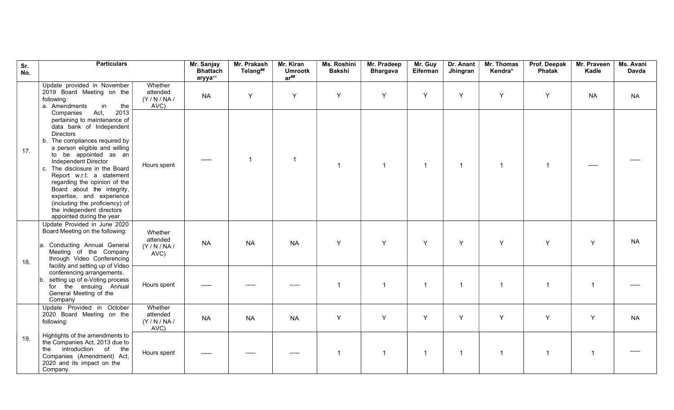| Sr.<br>No. | <b>Particulars</b>                                                                                                                                                                                                                                                                                                                                                                                                                                                                                 | Mr. Sanjay<br><b>Bhattach</b><br>aryya** | Mr. Prakash<br>Telang## | Mr. Kiran<br><b>Umrootk</b><br>$ar^{\# \#}$ | Ms. Roshini<br><b>Bakshi</b> | Mr. Pradeep<br><b>Bhargava</b> | Mr. Guy<br>Eiferman | Dr. Anant<br>Jhingran | Mr. Thomas<br>Kendra* | Prof. Deepak<br>Phatak | Mr. Praveen<br>Kadle | Ms. Avani<br><b>Davda</b> |
|------------|----------------------------------------------------------------------------------------------------------------------------------------------------------------------------------------------------------------------------------------------------------------------------------------------------------------------------------------------------------------------------------------------------------------------------------------------------------------------------------------------------|------------------------------------------|-------------------------|---------------------------------------------|------------------------------|--------------------------------|---------------------|-----------------------|-----------------------|------------------------|----------------------|---------------------------|
|            | Update provided in November<br>Whether<br>2019 Board Meeting on the<br>attended<br>(Y/N/NA)<br>following:<br>in<br>the<br>AVC)<br>a. Amendments                                                                                                                                                                                                                                                                                                                                                    | <b>NA</b>                                | Y                       | Y                                           | Y                            | Y                              | Y                   | Y                     | Y                     | Y                      | <b>NA</b>            | <b>NA</b>                 |
| 17.        | Act,<br>2013<br>Companies<br>pertaining to maintenance of<br>data bank of Independent<br><b>Directors</b><br>b. The compliances required by<br>a person eligible and willing<br>to be appointed as an<br>Independent Director<br>Hours spent<br>c. The disclosure in the Board<br>Report w.r.t. a statement<br>regarding the opinion of the<br>Board about the integrity,<br>expertise, and experience<br>(including the proficiency) of<br>the independent directors<br>appointed during the year | -----                                    |                         | - 1                                         | $\overline{1}$               |                                | $\overline{1}$      | $\overline{1}$        | -1                    | $\overline{1}$         | $--- -$              |                           |
| 18.        | Update Provided in June 2020<br>Board Meeting on the following:<br>Whether<br>attended<br>a. Conducting Annual General<br>(Y/N/NA)<br>Meeting of the Company<br>AVC)<br>through Video Conferencing<br>facility and setting up of Video                                                                                                                                                                                                                                                             | <b>NA</b>                                | <b>NA</b>               | <b>NA</b>                                   | Y                            | Y                              | Y                   | Y                     | Y                     | Y                      | Y                    | <b>NA</b>                 |
|            | conferencing arrangements.<br>setting up of e-Voting process<br>b.<br>Hours spent<br>for the ensuing Annual<br>General Meeting of the<br>Company                                                                                                                                                                                                                                                                                                                                                   | -----                                    |                         |                                             | $\overline{1}$               | $\overline{1}$                 | $\overline{1}$      | $\overline{1}$        | $\overline{1}$        | $\overline{1}$         | -1                   |                           |
|            | Update Provided in October<br>Whether<br>2020 Board Meeting on the<br>attended<br>(Y/N/NA)<br>following:<br>AVC)                                                                                                                                                                                                                                                                                                                                                                                   | <b>NA</b>                                | <b>NA</b>               | <b>NA</b>                                   | Y                            | Y                              | Y                   | Y                     | Y                     | Y                      | Y                    | <b>NA</b>                 |
| 19.        | Highlights of the amendments to<br>the Companies Act, 2013 due to<br>the introduction of the<br>Hours spent<br>Companies (Amendment) Act,<br>2020 and its impact on the<br>Company.                                                                                                                                                                                                                                                                                                                | -----                                    | -----                   | -----                                       | $\overline{1}$               | $\overline{1}$                 | $\overline{1}$      | $\overline{1}$        | $\overline{1}$        | $\overline{1}$         | -1                   | $--- - -$                 |